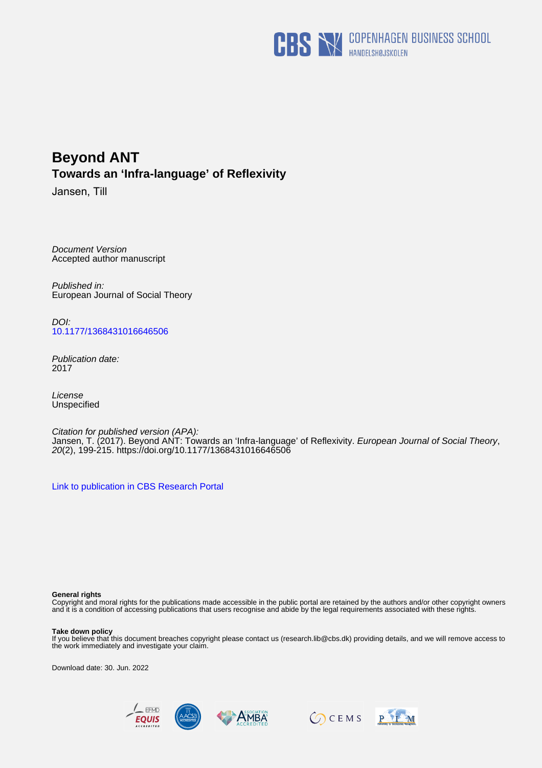

# **Beyond ANT Towards an 'Infra-language' of Reflexivity**

Jansen, Till

Document Version Accepted author manuscript

Published in: European Journal of Social Theory

DOI: [10.1177/1368431016646506](https://doi.org/10.1177/1368431016646506)

Publication date: 2017

License **Unspecified** 

Citation for published version (APA): Jansen, T. (2017). Beyond ANT: Towards an 'Infra-language' of Reflexivity. European Journal of Social Theory, 20(2), 199-215.<https://doi.org/10.1177/1368431016646506>

[Link to publication in CBS Research Portal](https://research.cbs.dk/en/publications/62446e54-2db4-4fbf-b6c7-43d8238c21c7)

#### **General rights**

Copyright and moral rights for the publications made accessible in the public portal are retained by the authors and/or other copyright owners and it is a condition of accessing publications that users recognise and abide by the legal requirements associated with these rights.

#### **Take down policy**

If you believe that this document breaches copyright please contact us (research.lib@cbs.dk) providing details, and we will remove access to the work immediately and investigate your claim.

Download date: 30. Jun. 2022







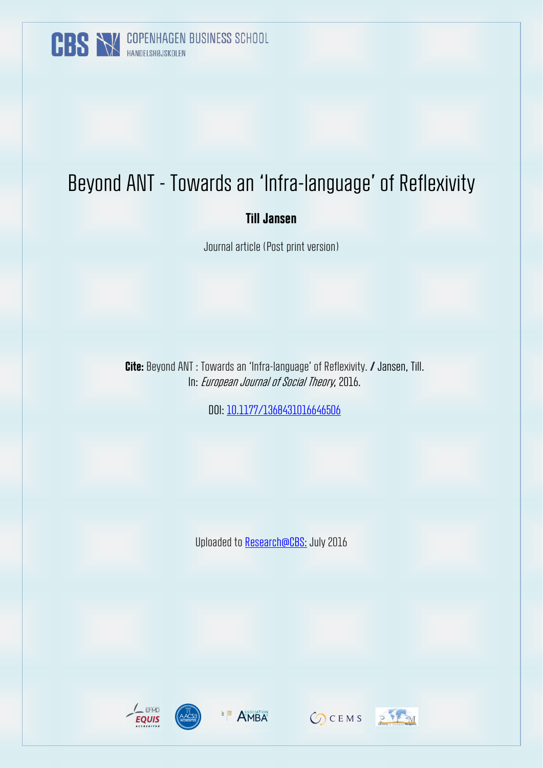# **Till Jansen**

Journal article (Post print version)

**Cite:** Beyond ANT : Towards an 'Infra-language' of Reflexivity. **/** Jansen, Till. In: European Journal of Social Theory, 2016.

DOI: [10.1177/1368431016646506](http://est.sagepub.com/content/early/2016/05/03/1368431016646506.abstract?rss=1)

Uploaded to [Research@CBS:](http://research.cbs.dk/en/publications/beyond-ant(62446e54-2db4-4fbf-b6c7-43d8238c21c7).html) July 2016







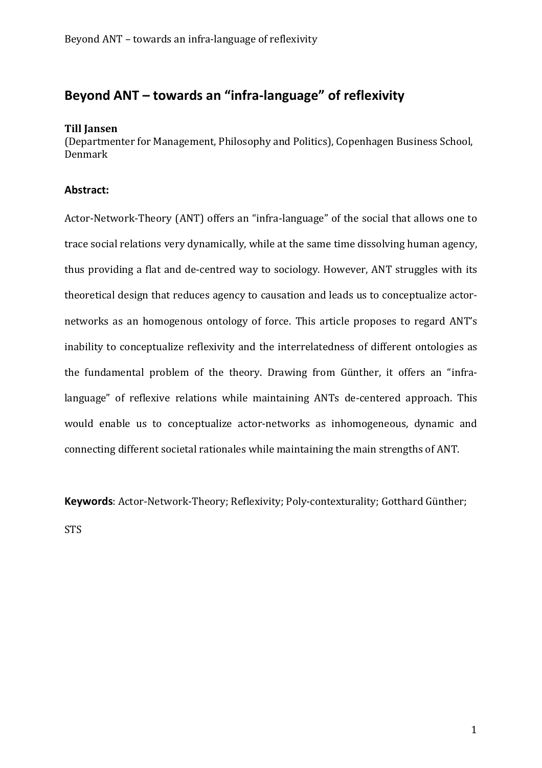#### **Till Jansen**

(Departmenter for Management, Philosophy and Politics), Copenhagen Business School, Denmark

### **Abstract:**

Actor-Network-Theory (ANT) offers an "infra-language" of the social that allows one to trace social relations very dynamically, while at the same time dissolving human agency, thus providing a flat and de-centred way to sociology. However, ANT struggles with its theoretical design that reduces agency to causation and leads us to conceptualize actornetworks as an homogenous ontology of force. This article proposes to regard ANT's inability to conceptualize reflexivity and the interrelatedness of different ontologies as the fundamental problem of the theory. Drawing from Günther, it offers an "infralanguage" of reflexive relations while maintaining ANTs de-centered approach. This would enable us to conceptualize actor-networks as inhomogeneous, dynamic and connecting different societal rationales while maintaining the main strengths of ANT.

**Keywords**: Actor-Network-Theory; Reflexivity; Poly-contexturality; Gotthard Günther;

STS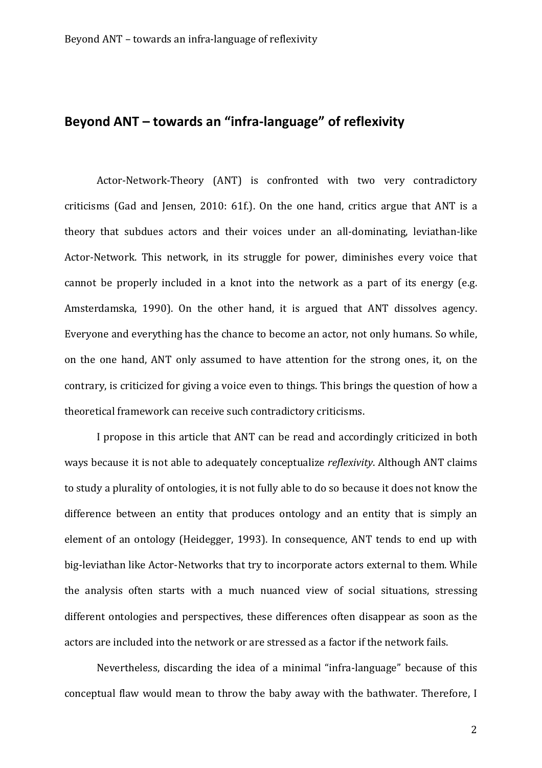Actor-Network-Theory (ANT) is confronted with two very contradictory criticisms (Gad and Jensen, 2010: 61f.). On the one hand, critics argue that ANT is a theory that subdues actors and their voices under an all-dominating, leviathan-like Actor-Network. This network, in its struggle for power, diminishes every voice that cannot be properly included in a knot into the network as a part of its energy (e.g. Amsterdamska, 1990). On the other hand, it is argued that ANT dissolves agency. Everyone and everything has the chance to become an actor, not only humans. So while, on the one hand, ANT only assumed to have attention for the strong ones, it, on the contrary, is criticized for giving a voice even to things. This brings the question of how a theoretical framework can receive such contradictory criticisms.

I propose in this article that ANT can be read and accordingly criticized in both ways because it is not able to adequately conceptualize *reflexivity*. Although ANT claims to study a plurality of ontologies, it is not fully able to do so because it does not know the difference between an entity that produces ontology and an entity that is simply an element of an ontology (Heidegger, 1993). In consequence, ANT tends to end up with big-leviathan like Actor-Networks that try to incorporate actors external to them. While the analysis often starts with a much nuanced view of social situations, stressing different ontologies and perspectives, these differences often disappear as soon as the actors are included into the network or are stressed as a factor if the network fails.

Nevertheless, discarding the idea of a minimal "infra-language" because of this conceptual flaw would mean to throw the baby away with the bathwater. Therefore, I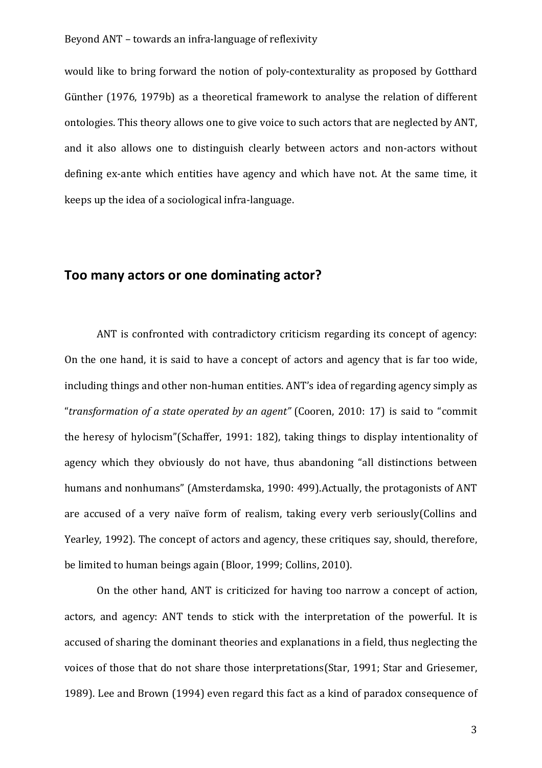would like to bring forward the notion of poly-contexturality as proposed by Gotthard Günther (1976, 1979b) as a theoretical framework to analyse the relation of different ontologies. This theory allows one to give voice to such actors that are neglected by ANT, and it also allows one to distinguish clearly between actors and non-actors without defining ex-ante which entities have agency and which have not. At the same time, it keeps up the idea of a sociological infra-language.

### **Too many actors or one dominating actor?**

ANT is confronted with contradictory criticism regarding its concept of agency: On the one hand, it is said to have a concept of actors and agency that is far too wide, including things and other non-human entities. ANT's idea of regarding agency simply as "*transformation of a state operated by an agent"* (Cooren, 2010: 17) is said to "commit the heresy of hylocism"(Schaffer, 1991: 182), taking things to display intentionality of agency which they obviously do not have, thus abandoning "all distinctions between humans and nonhumans" (Amsterdamska, 1990: 499).Actually, the protagonists of ANT are accused of a very naïve form of realism, taking every verb seriously(Collins and Yearley, 1992). The concept of actors and agency, these critiques say, should, therefore, be limited to human beings again (Bloor, 1999; Collins, 2010).

On the other hand, ANT is criticized for having too narrow a concept of action, actors, and agency: ANT tends to stick with the interpretation of the powerful. It is accused of sharing the dominant theories and explanations in a field, thus neglecting the voices of those that do not share those interpretations(Star, 1991; Star and Griesemer, 1989). Lee and Brown (1994) even regard this fact as a kind of paradox consequence of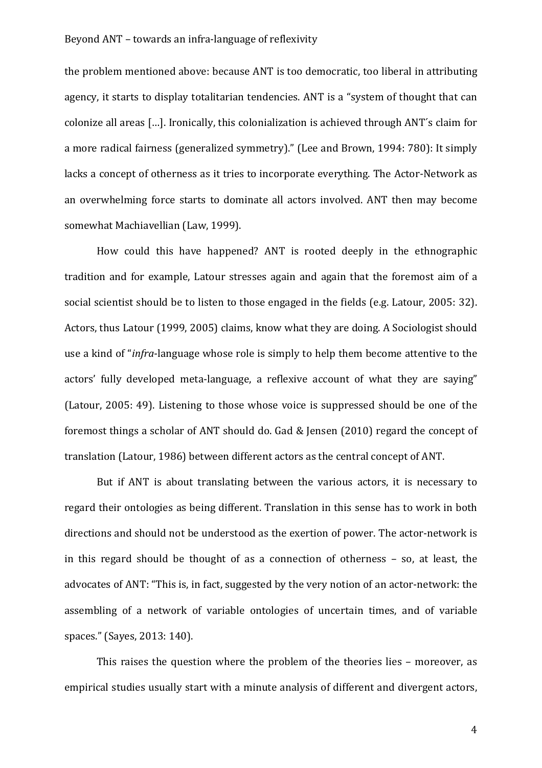the problem mentioned above: because ANT is too democratic, too liberal in attributing agency, it starts to display totalitarian tendencies. ANT is a "system of thought that can colonize all areas […]. Ironically, this colonialization is achieved through ANT´s claim for a more radical fairness (generalized symmetry)." (Lee and Brown, 1994: 780): It simply lacks a concept of otherness as it tries to incorporate everything. The Actor-Network as an overwhelming force starts to dominate all actors involved. ANT then may become somewhat Machiavellian (Law, 1999).

How could this have happened? ANT is rooted deeply in the ethnographic tradition and for example, Latour stresses again and again that the foremost aim of a social scientist should be to listen to those engaged in the fields (e.g. Latour, 2005: 32). Actors, thus Latour (1999, 2005) claims, know what they are doing. A Sociologist should use a kind of "*infra*-language whose role is simply to help them become attentive to the actors' fully developed meta-language, a reflexive account of what they are saying" (Latour, 2005: 49). Listening to those whose voice is suppressed should be one of the foremost things a scholar of ANT should do. Gad & Jensen (2010) regard the concept of translation (Latour, 1986) between different actors as the central concept of ANT.

But if ANT is about translating between the various actors, it is necessary to regard their ontologies as being different. Translation in this sense has to work in both directions and should not be understood as the exertion of power. The actor-network is in this regard should be thought of as a connection of otherness – so, at least, the advocates of ANT: "This is, in fact, suggested by the very notion of an actor-network: the assembling of a network of variable ontologies of uncertain times, and of variable spaces." (Sayes, 2013: 140).

This raises the question where the problem of the theories lies – moreover, as empirical studies usually start with a minute analysis of different and divergent actors,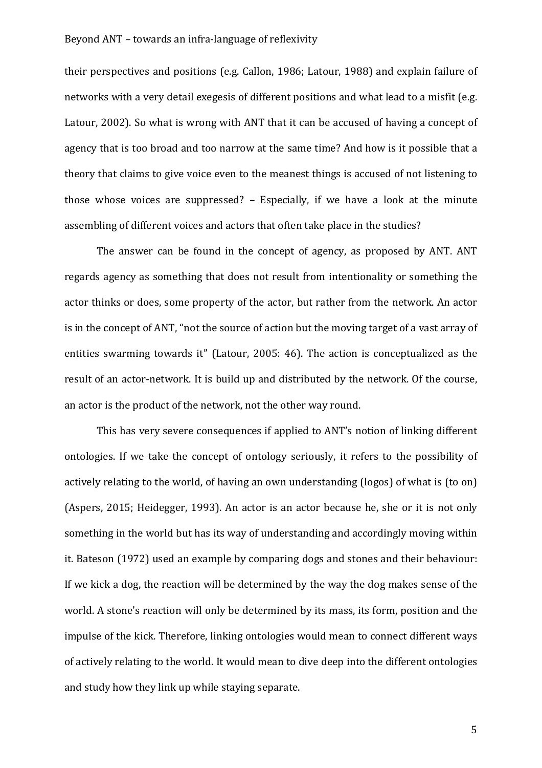their perspectives and positions (e.g. Callon, 1986; Latour, 1988) and explain failure of networks with a very detail exegesis of different positions and what lead to a misfit (e.g. Latour, 2002). So what is wrong with ANT that it can be accused of having a concept of agency that is too broad and too narrow at the same time? And how is it possible that a theory that claims to give voice even to the meanest things is accused of not listening to those whose voices are suppressed? – Especially, if we have a look at the minute assembling of different voices and actors that often take place in the studies?

The answer can be found in the concept of agency, as proposed by ANT. ANT regards agency as something that does not result from intentionality or something the actor thinks or does, some property of the actor, but rather from the network. An actor is in the concept of ANT, "not the source of action but the moving target of a vast array of entities swarming towards it" (Latour, 2005: 46). The action is conceptualized as the result of an actor-network. It is build up and distributed by the network. Of the course, an actor is the product of the network, not the other way round.

This has very severe consequences if applied to ANT's notion of linking different ontologies. If we take the concept of ontology seriously, it refers to the possibility of actively relating to the world, of having an own understanding (logos) of what is (to on) (Aspers, 2015; Heidegger, 1993). An actor is an actor because he, she or it is not only something in the world but has its way of understanding and accordingly moving within it. Bateson (1972) used an example by comparing dogs and stones and their behaviour: If we kick a dog, the reaction will be determined by the way the dog makes sense of the world. A stone's reaction will only be determined by its mass, its form, position and the impulse of the kick. Therefore, linking ontologies would mean to connect different ways of actively relating to the world. It would mean to dive deep into the different ontologies and study how they link up while staying separate.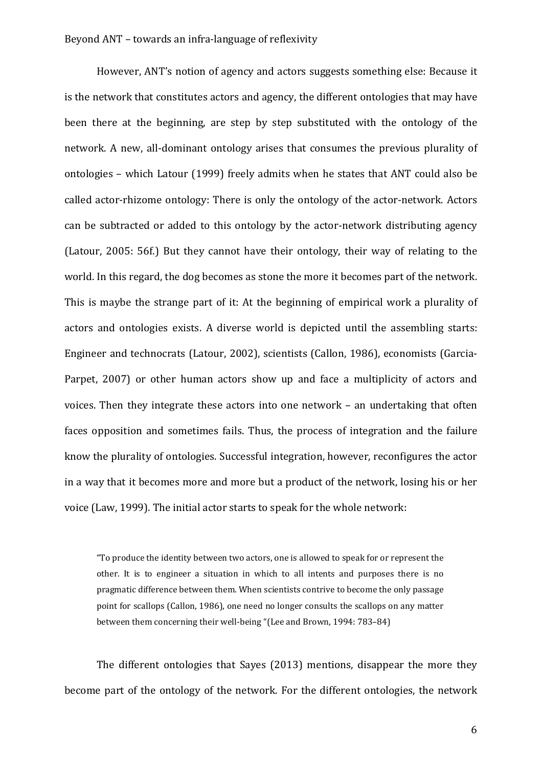However, ANT's notion of agency and actors suggests something else: Because it is the network that constitutes actors and agency, the different ontologies that may have been there at the beginning, are step by step substituted with the ontology of the network. A new, all-dominant ontology arises that consumes the previous plurality of ontologies – which Latour (1999) freely admits when he states that ANT could also be called actor-rhizome ontology: There is only the ontology of the actor-network. Actors can be subtracted or added to this ontology by the actor-network distributing agency (Latour, 2005: 56f.) But they cannot have their ontology, their way of relating to the world. In this regard, the dog becomes as stone the more it becomes part of the network. This is maybe the strange part of it: At the beginning of empirical work a plurality of actors and ontologies exists. A diverse world is depicted until the assembling starts: Engineer and technocrats (Latour, 2002), scientists (Callon, 1986), economists (Garcia-Parpet, 2007) or other human actors show up and face a multiplicity of actors and voices. Then they integrate these actors into one network – an undertaking that often faces opposition and sometimes fails. Thus, the process of integration and the failure know the plurality of ontologies. Successful integration, however, reconfigures the actor in a way that it becomes more and more but a product of the network, losing his or her voice (Law, 1999). The initial actor starts to speak for the whole network:

"To produce the identity between two actors, one is allowed to speak for or represent the other. It is to engineer a situation in which to all intents and purposes there is no pragmatic difference between them. When scientists contrive to become the only passage point for scallops (Callon, 1986), one need no longer consults the scallops on any matter between them concerning their well-being "(Lee and Brown, 1994: 783–84)

The different ontologies that Sayes (2013) mentions, disappear the more they become part of the ontology of the network. For the different ontologies, the network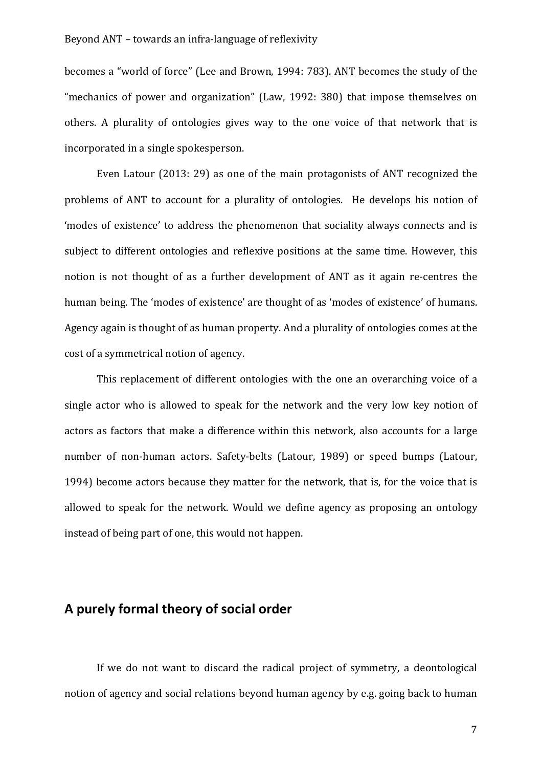becomes a "world of force" (Lee and Brown, 1994: 783). ANT becomes the study of the "mechanics of power and organization" (Law, 1992: 380) that impose themselves on others. A plurality of ontologies gives way to the one voice of that network that is incorporated in a single spokesperson.

Even Latour (2013: 29) as one of the main protagonists of ANT recognized the problems of ANT to account for a plurality of ontologies. He develops his notion of 'modes of existence' to address the phenomenon that sociality always connects and is subject to different ontologies and reflexive positions at the same time. However, this notion is not thought of as a further development of ANT as it again re-centres the human being. The 'modes of existence' are thought of as 'modes of existence' of humans. Agency again is thought of as human property. And a plurality of ontologies comes at the cost of a symmetrical notion of agency.

This replacement of different ontologies with the one an overarching voice of a single actor who is allowed to speak for the network and the very low key notion of actors as factors that make a difference within this network, also accounts for a large number of non-human actors. Safety-belts (Latour, 1989) or speed bumps (Latour, 1994) become actors because they matter for the network, that is, for the voice that is allowed to speak for the network. Would we define agency as proposing an ontology instead of being part of one, this would not happen.

# **A purely formal theory of social order**

If we do not want to discard the radical project of symmetry, a deontological notion of agency and social relations beyond human agency by e.g. going back to human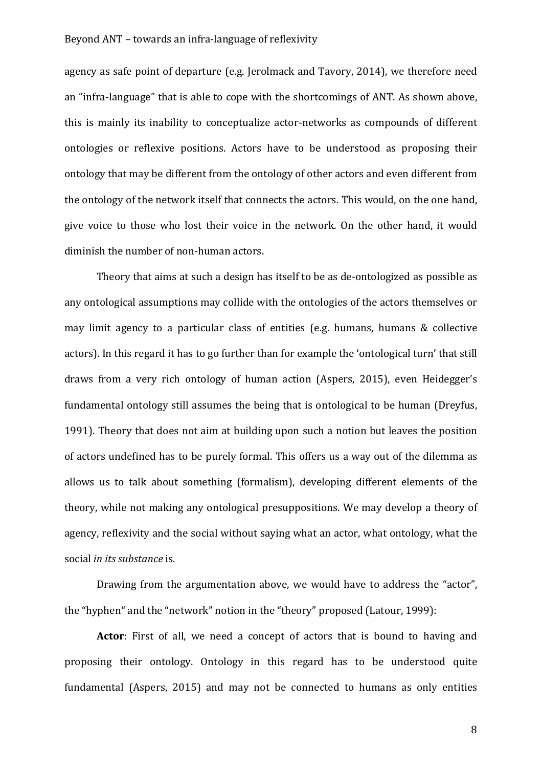agency as safe point of departure (e.g. Jerolmack and Tavory, 2014), we therefore need an "infra-language" that is able to cope with the shortcomings of ANT. As shown above, this is mainly its inability to conceptualize actor-networks as compounds of different ontologies or reflexive positions. Actors have to be understood as proposing their ontology that may be different from the ontology of other actors and even different from the ontology of the network itself that connects the actors. This would, on the one hand, give voice to those who lost their voice in the network. On the other hand, it would diminish the number of non-human actors.

Theory that aims at such a design has itself to be as de-ontologized as possible as any ontological assumptions may collide with the ontologies of the actors themselves or may limit agency to a particular class of entities (e.g. humans, humans & collective actors). In this regard it has to go further than for example the 'ontological turn' that still draws from a very rich ontology of human action (Aspers, 2015), even Heidegger's fundamental ontology still assumes the being that is ontological to be human (Dreyfus, 1991). Theory that does not aim at building upon such a notion but leaves the position of actors undefined has to be purely formal. This offers us a way out of the dilemma as allows us to talk about something (formalism), developing different elements of the theory, while not making any ontological presuppositions. We may develop a theory of agency, reflexivity and the social without saying what an actor, what ontology, what the social *in its substance* is.

Drawing from the argumentation above, we would have to address the "actor", the "hyphen" and the "network" notion in the "theory" proposed (Latour, 1999):

**Actor**: First of all, we need a concept of actors that is bound to having and proposing their ontology. Ontology in this regard has to be understood quite fundamental (Aspers, 2015) and may not be connected to humans as only entities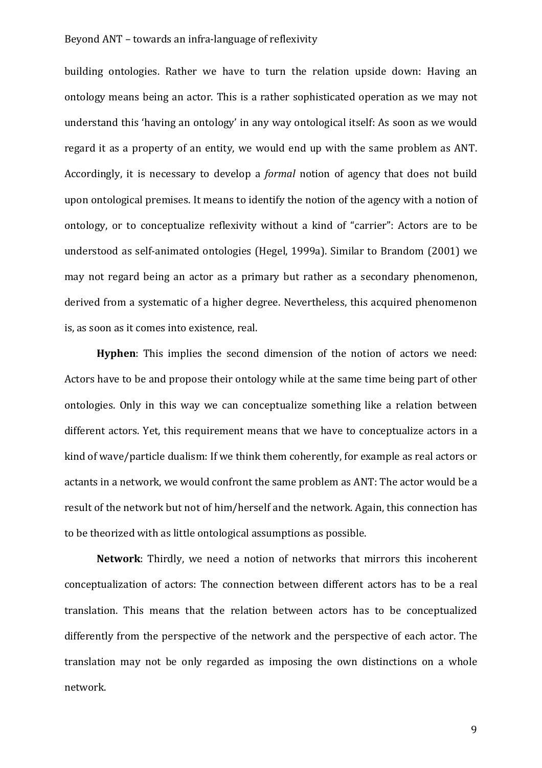building ontologies. Rather we have to turn the relation upside down: Having an ontology means being an actor. This is a rather sophisticated operation as we may not understand this 'having an ontology' in any way ontological itself: As soon as we would regard it as a property of an entity, we would end up with the same problem as ANT. Accordingly, it is necessary to develop a *formal* notion of agency that does not build upon ontological premises. It means to identify the notion of the agency with a notion of ontology, or to conceptualize reflexivity without a kind of "carrier": Actors are to be understood as self-animated ontologies (Hegel, 1999a). Similar to Brandom (2001) we may not regard being an actor as a primary but rather as a secondary phenomenon, derived from a systematic of a higher degree. Nevertheless, this acquired phenomenon is, as soon as it comes into existence, real.

**Hyphen**: This implies the second dimension of the notion of actors we need: Actors have to be and propose their ontology while at the same time being part of other ontologies. Only in this way we can conceptualize something like a relation between different actors. Yet, this requirement means that we have to conceptualize actors in a kind of wave/particle dualism: If we think them coherently, for example as real actors or actants in a network, we would confront the same problem as ANT: The actor would be a result of the network but not of him/herself and the network. Again, this connection has to be theorized with as little ontological assumptions as possible.

**Network**: Thirdly, we need a notion of networks that mirrors this incoherent conceptualization of actors: The connection between different actors has to be a real translation. This means that the relation between actors has to be conceptualized differently from the perspective of the network and the perspective of each actor. The translation may not be only regarded as imposing the own distinctions on a whole network.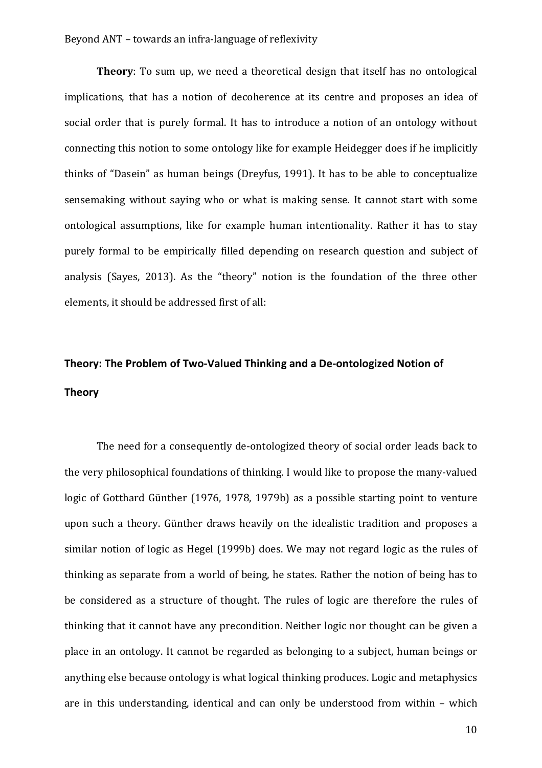**Theory**: To sum up, we need a theoretical design that itself has no ontological implications, that has a notion of decoherence at its centre and proposes an idea of social order that is purely formal. It has to introduce a notion of an ontology without connecting this notion to some ontology like for example Heidegger does if he implicitly thinks of "Dasein" as human beings (Dreyfus, 1991). It has to be able to conceptualize sensemaking without saying who or what is making sense. It cannot start with some ontological assumptions, like for example human intentionality. Rather it has to stay purely formal to be empirically filled depending on research question and subject of analysis (Sayes, 2013). As the "theory" notion is the foundation of the three other elements, it should be addressed first of all:

# **Theory: The Problem of Two-Valued Thinking and a De-ontologized Notion of Theory**

The need for a consequently de-ontologized theory of social order leads back to the very philosophical foundations of thinking. I would like to propose the many-valued logic of Gotthard Günther (1976, 1978, 1979b) as a possible starting point to venture upon such a theory. Günther draws heavily on the idealistic tradition and proposes a similar notion of logic as Hegel (1999b) does. We may not regard logic as the rules of thinking as separate from a world of being, he states. Rather the notion of being has to be considered as a structure of thought. The rules of logic are therefore the rules of thinking that it cannot have any precondition. Neither logic nor thought can be given a place in an ontology. It cannot be regarded as belonging to a subject, human beings or anything else because ontology is what logical thinking produces. Logic and metaphysics are in this understanding, identical and can only be understood from within – which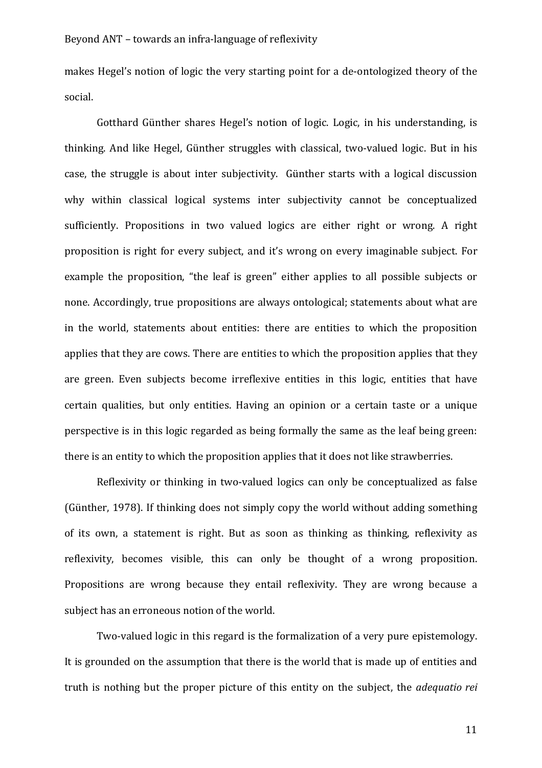makes Hegel's notion of logic the very starting point for a de-ontologized theory of the social.

Gotthard Günther shares Hegel's notion of logic. Logic, in his understanding, is thinking. And like Hegel, Günther struggles with classical, two-valued logic. But in his case, the struggle is about inter subjectivity. Günther starts with a logical discussion why within classical logical systems inter subjectivity cannot be conceptualized sufficiently. Propositions in two valued logics are either right or wrong. A right proposition is right for every subject, and it's wrong on every imaginable subject. For example the proposition, "the leaf is green" either applies to all possible subjects or none. Accordingly, true propositions are always ontological; statements about what are in the world, statements about entities: there are entities to which the proposition applies that they are cows. There are entities to which the proposition applies that they are green. Even subjects become irreflexive entities in this logic, entities that have certain qualities, but only entities. Having an opinion or a certain taste or a unique perspective is in this logic regarded as being formally the same as the leaf being green: there is an entity to which the proposition applies that it does not like strawberries.

Reflexivity or thinking in two-valued logics can only be conceptualized as false (Günther, 1978). If thinking does not simply copy the world without adding something of its own, a statement is right. But as soon as thinking as thinking, reflexivity as reflexivity, becomes visible, this can only be thought of a wrong proposition. Propositions are wrong because they entail reflexivity. They are wrong because a subject has an erroneous notion of the world.

Two-valued logic in this regard is the formalization of a very pure epistemology. It is grounded on the assumption that there is the world that is made up of entities and truth is nothing but the proper picture of this entity on the subject, the *adequatio rei*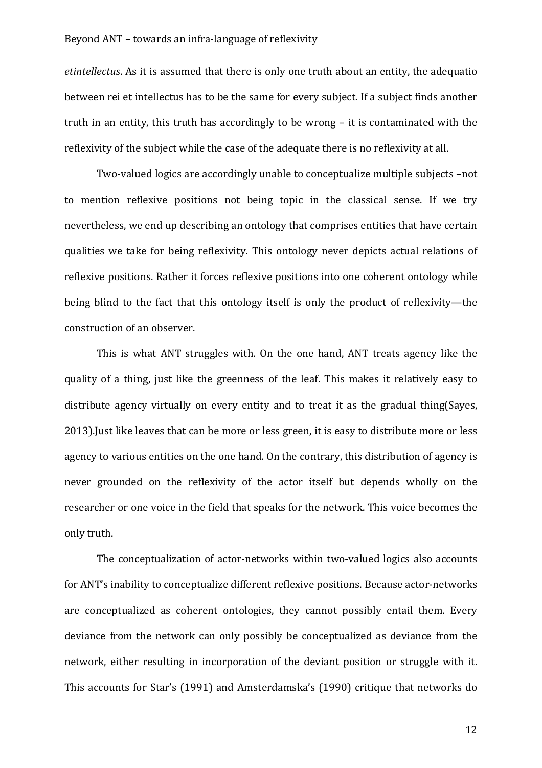*etintellectus*. As it is assumed that there is only one truth about an entity, the adequatio between rei et intellectus has to be the same for every subject. If a subject finds another truth in an entity, this truth has accordingly to be wrong – it is contaminated with the reflexivity of the subject while the case of the adequate there is no reflexivity at all.

Two-valued logics are accordingly unable to conceptualize multiple subjects –not to mention reflexive positions not being topic in the classical sense. If we try nevertheless, we end up describing an ontology that comprises entities that have certain qualities we take for being reflexivity. This ontology never depicts actual relations of reflexive positions. Rather it forces reflexive positions into one coherent ontology while being blind to the fact that this ontology itself is only the product of reflexivity—the construction of an observer.

This is what ANT struggles with. On the one hand, ANT treats agency like the quality of a thing, just like the greenness of the leaf. This makes it relatively easy to distribute agency virtually on every entity and to treat it as the gradual thing(Sayes, 2013).Just like leaves that can be more or less green, it is easy to distribute more or less agency to various entities on the one hand. On the contrary, this distribution of agency is never grounded on the reflexivity of the actor itself but depends wholly on the researcher or one voice in the field that speaks for the network. This voice becomes the only truth.

The conceptualization of actor-networks within two-valued logics also accounts for ANT's inability to conceptualize different reflexive positions. Because actor-networks are conceptualized as coherent ontologies, they cannot possibly entail them. Every deviance from the network can only possibly be conceptualized as deviance from the network, either resulting in incorporation of the deviant position or struggle with it. This accounts for Star's (1991) and Amsterdamska's (1990) critique that networks do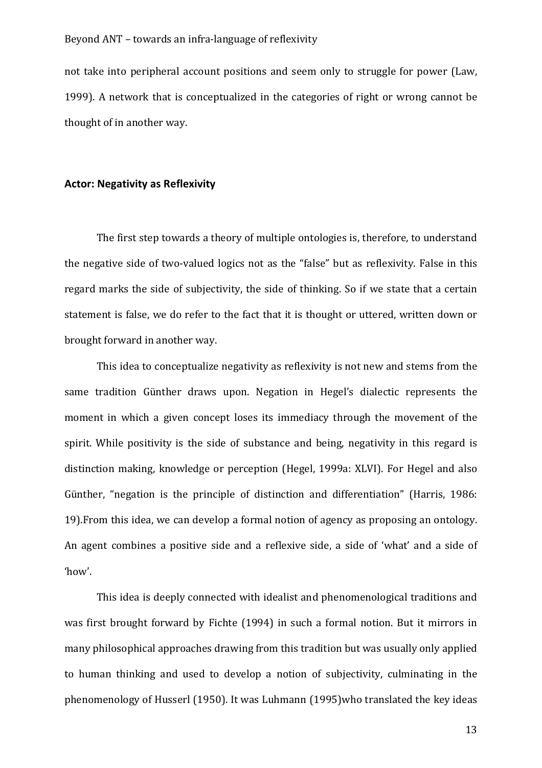not take into peripheral account positions and seem only to struggle for power (Law, 1999). A network that is conceptualized in the categories of right or wrong cannot be thought of in another way.

#### **Actor: Negativity as Reflexivity**

The first step towards a theory of multiple ontologies is, therefore, to understand the negative side of two-valued logics not as the "false" but as reflexivity. False in this regard marks the side of subjectivity, the side of thinking. So if we state that a certain statement is false, we do refer to the fact that it is thought or uttered, written down or brought forward in another way.

This idea to conceptualize negativity as reflexivity is not new and stems from the same tradition Günther draws upon. Negation in Hegel's dialectic represents the moment in which a given concept loses its immediacy through the movement of the spirit. While positivity is the side of substance and being, negativity in this regard is distinction making, knowledge or perception (Hegel, 1999a: XLVI). For Hegel and also Günther, "negation is the principle of distinction and differentiation" (Harris, 1986: 19).From this idea, we can develop a formal notion of agency as proposing an ontology. An agent combines a positive side and a reflexive side, a side of 'what' and a side of 'how'.

This idea is deeply connected with idealist and phenomenological traditions and was first brought forward by Fichte (1994) in such a formal notion. But it mirrors in many philosophical approaches drawing from this tradition but was usually only applied to human thinking and used to develop a notion of subjectivity, culminating in the phenomenology of Husserl (1950). It was Luhmann (1995)who translated the key ideas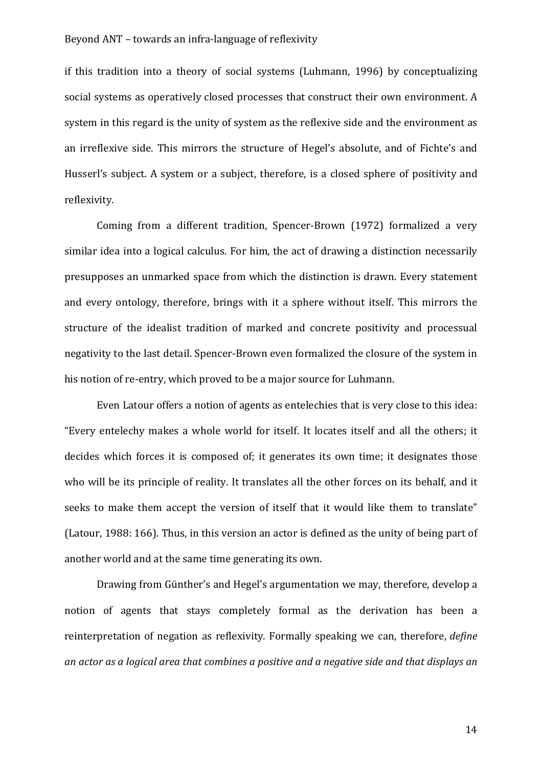if this tradition into a theory of social systems (Luhmann, 1996) by conceptualizing social systems as operatively closed processes that construct their own environment. A system in this regard is the unity of system as the reflexive side and the environment as an irreflexive side. This mirrors the structure of Hegel's absolute, and of Fichte's and Husserl's subject. A system or a subject, therefore, is a closed sphere of positivity and reflexivity.

Coming from a different tradition, Spencer-Brown (1972) formalized a very similar idea into a logical calculus. For him, the act of drawing a distinction necessarily presupposes an unmarked space from which the distinction is drawn. Every statement and every ontology, therefore, brings with it a sphere without itself. This mirrors the structure of the idealist tradition of marked and concrete positivity and processual negativity to the last detail. Spencer-Brown even formalized the closure of the system in his notion of re-entry, which proved to be a major source for Luhmann.

Even Latour offers a notion of agents as entelechies that is very close to this idea: "Every entelechy makes a whole world for itself. It locates itself and all the others; it decides which forces it is composed of; it generates its own time; it designates those who will be its principle of reality. It translates all the other forces on its behalf, and it seeks to make them accept the version of itself that it would like them to translate" (Latour, 1988: 166). Thus, in this version an actor is defined as the unity of being part of another world and at the same time generating its own.

Drawing from Günther's and Hegel's argumentation we may, therefore, develop a notion of agents that stays completely formal as the derivation has been a reinterpretation of negation as reflexivity. Formally speaking we can, therefore, *define an actor as a logical area that combines a positive and a negative side and that displays an*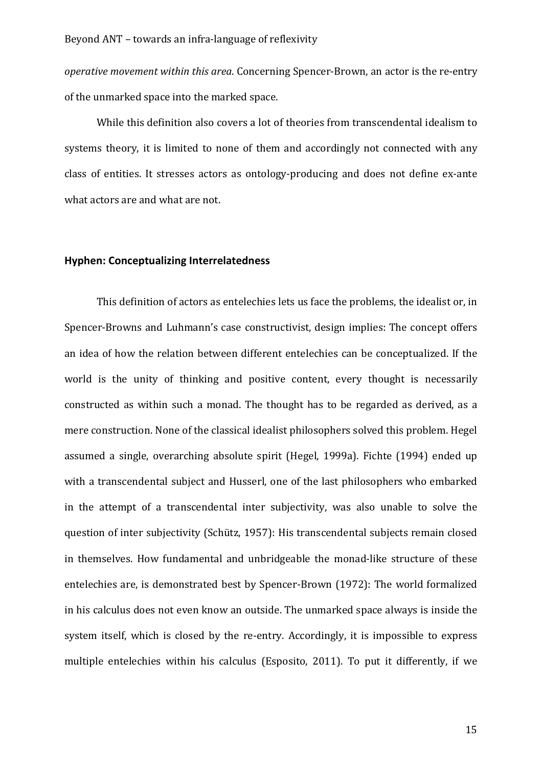*operative movement within this area*. Concerning Spencer-Brown, an actor is the re-entry of the unmarked space into the marked space.

While this definition also covers a lot of theories from transcendental idealism to systems theory, it is limited to none of them and accordingly not connected with any class of entities. It stresses actors as ontology-producing and does not define ex-ante what actors are and what are not.

#### **Hyphen: Conceptualizing Interrelatedness**

This definition of actors as entelechies lets us face the problems, the idealist or, in Spencer-Browns and Luhmann's case constructivist, design implies: The concept offers an idea of how the relation between different entelechies can be conceptualized. If the world is the unity of thinking and positive content, every thought is necessarily constructed as within such a monad. The thought has to be regarded as derived, as a mere construction. None of the classical idealist philosophers solved this problem. Hegel assumed a single, overarching absolute spirit (Hegel, 1999a). Fichte (1994) ended up with a transcendental subject and Husserl, one of the last philosophers who embarked in the attempt of a transcendental inter subjectivity, was also unable to solve the question of inter subjectivity (Schütz, 1957): His transcendental subjects remain closed in themselves. How fundamental and unbridgeable the monad-like structure of these entelechies are, is demonstrated best by Spencer-Brown (1972): The world formalized in his calculus does not even know an outside. The unmarked space always is inside the system itself, which is closed by the re-entry. Accordingly, it is impossible to express multiple entelechies within his calculus (Esposito, 2011). To put it differently, if we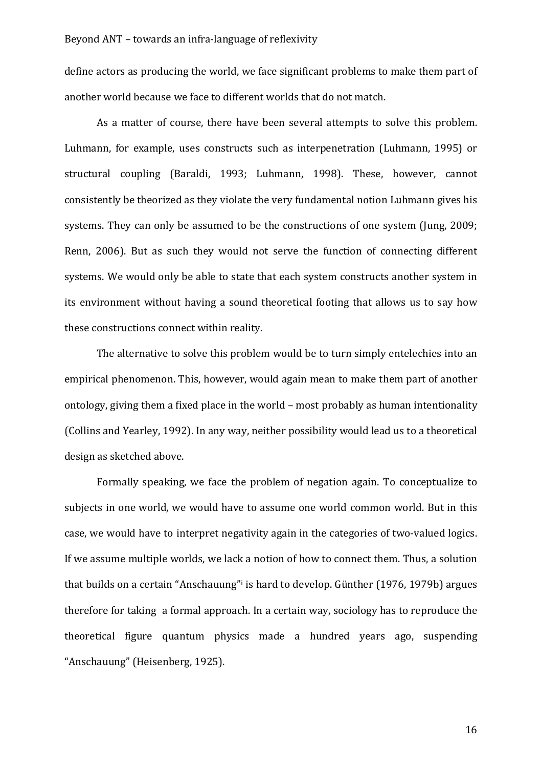define actors as producing the world, we face significant problems to make them part of another world because we face to different worlds that do not match.

As a matter of course, there have been several attempts to solve this problem. Luhmann, for example, uses constructs such as interpenetration (Luhmann, 1995) or structural coupling (Baraldi, 1993; Luhmann, 1998). These, however, cannot consistently be theorized as they violate the very fundamental notion Luhmann gives his systems. They can only be assumed to be the constructions of one system (Jung, 2009; Renn, 2006). But as such they would not serve the function of connecting different systems. We would only be able to state that each system constructs another system in its environment without having a sound theoretical footing that allows us to say how these constructions connect within reality.

The alternative to solve this problem would be to turn simply entelechies into an empirical phenomenon. This, however, would again mean to make them part of another ontology, giving them a fixed place in the world – most probably as human intentionality (Collins and Yearley, 1992). In any way, neither possibility would lead us to a theoretical design as sketched above.

Formally speaking, we face the problem of negation again. To conceptualize to subjects in one world, we would have to assume one world common world. But in this case, we would have to interpret negativity again in the categories of two-valued logics. If we assume multiple worlds, we lack a notion of how to connect them. Thus, a solution that builds on a certain "Anschauung"[i](#page-30-0) is hard to develop. Günther (1976, 1979b) argues therefore for taking a formal approach. In a certain way, sociology has to reproduce the theoretical figure quantum physics made a hundred years ago, suspending "Anschauung" (Heisenberg, 1925).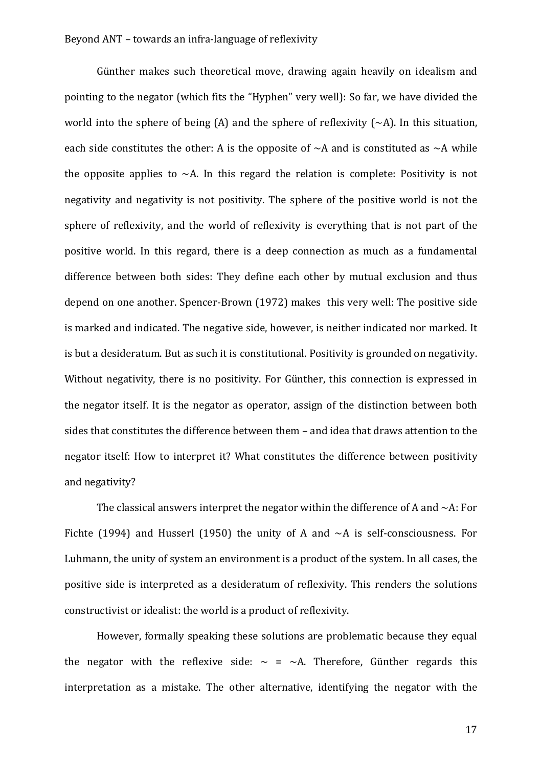Günther makes such theoretical move, drawing again heavily on idealism and pointing to the negator (which fits the "Hyphen" very well): So far, we have divided the world into the sphere of being (A) and the sphere of reflexivity  $(\sim A)$ . In this situation, each side constitutes the other: A is the opposite of  $\sim$ A and is constituted as  $\sim$ A while the opposite applies to  $\neg A$ . In this regard the relation is complete: Positivity is not negativity and negativity is not positivity. The sphere of the positive world is not the sphere of reflexivity, and the world of reflexivity is everything that is not part of the positive world. In this regard, there is a deep connection as much as a fundamental difference between both sides: They define each other by mutual exclusion and thus depend on one another. Spencer-Brown (1972) makes this very well: The positive side is marked and indicated. The negative side, however, is neither indicated nor marked. It is but a desideratum. But as such it is constitutional. Positivity is grounded on negativity. Without negativity, there is no positivity. For Günther, this connection is expressed in the negator itself. It is the negator as operator, assign of the distinction between both sides that constitutes the difference between them – and idea that draws attention to the negator itself: How to interpret it? What constitutes the difference between positivity and negativity?

The classical answers interpret the negator within the difference of A and  $\sim$ A: For Fichte (1994) and Husserl (1950) the unity of A and  $\sim$ A is self-consciousness. For Luhmann, the unity of system an environment is a product of the system. In all cases, the positive side is interpreted as a desideratum of reflexivity. This renders the solutions constructivist or idealist: the world is a product of reflexivity.

However, formally speaking these solutions are problematic because they equal the negator with the reflexive side:  $\sim$  =  $\sim$  A. Therefore, Günther regards this interpretation as a mistake. The other alternative, identifying the negator with the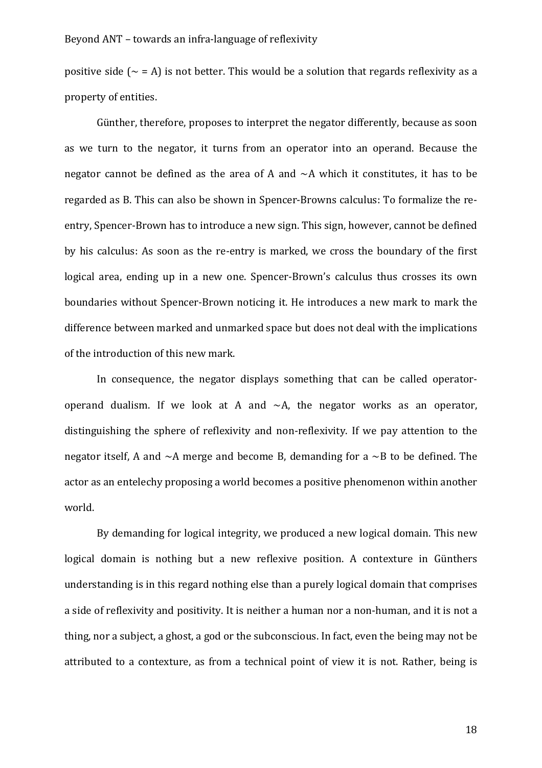positive side ( $\sim$  = A) is not better. This would be a solution that regards reflexivity as a property of entities.

Günther, therefore, proposes to interpret the negator differently, because as soon as we turn to the negator, it turns from an operator into an operand. Because the negator cannot be defined as the area of A and  $\sim$ A which it constitutes, it has to be regarded as B. This can also be shown in Spencer-Browns calculus: To formalize the reentry, Spencer-Brown has to introduce a new sign. This sign, however, cannot be defined by his calculus: As soon as the re-entry is marked, we cross the boundary of the first logical area, ending up in a new one. Spencer-Brown's calculus thus crosses its own boundaries without Spencer-Brown noticing it. He introduces a new mark to mark the difference between marked and unmarked space but does not deal with the implications of the introduction of this new mark.

In consequence, the negator displays something that can be called operatoroperand dualism. If we look at A and  $\sim$ A, the negator works as an operator, distinguishing the sphere of reflexivity and non-reflexivity. If we pay attention to the negator itself, A and  $\sim$ A merge and become B, demanding for a  $\sim$ B to be defined. The actor as an entelechy proposing a world becomes a positive phenomenon within another world.

By demanding for logical integrity, we produced a new logical domain. This new logical domain is nothing but a new reflexive position. A contexture in Günthers understanding is in this regard nothing else than a purely logical domain that comprises a side of reflexivity and positivity. It is neither a human nor a non-human, and it is not a thing, nor a subject, a ghost, a god or the subconscious. In fact, even the being may not be attributed to a contexture, as from a technical point of view it is not. Rather, being is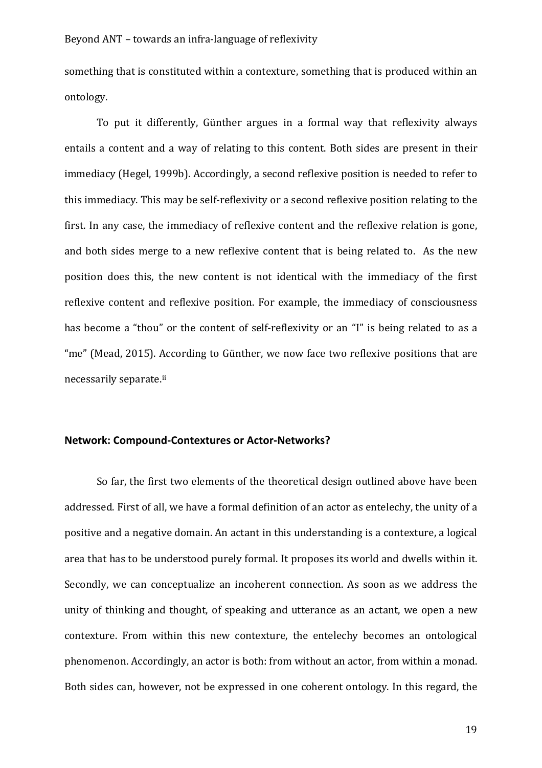something that is constituted within a contexture, something that is produced within an ontology.

To put it differently, Günther argues in a formal way that reflexivity always entails a content and a way of relating to this content. Both sides are present in their immediacy (Hegel, 1999b). Accordingly, a second reflexive position is needed to refer to this immediacy. This may be self-reflexivity or a second reflexive position relating to the first. In any case, the immediacy of reflexive content and the reflexive relation is gone, and both sides merge to a new reflexive content that is being related to. As the new position does this, the new content is not identical with the immediacy of the first reflexive content and reflexive position. For example, the immediacy of consciousness has become a "thou" or the content of self-reflexivity or an "I" is being related to as a "me" (Mead, 2015). According to Günther, we now face two reflexive positions that are necessarily separate.[ii](#page-30-1)

#### **Network: Compound-Contextures or Actor-Networks?**

So far, the first two elements of the theoretical design outlined above have been addressed. First of all, we have a formal definition of an actor as entelechy, the unity of a positive and a negative domain. An actant in this understanding is a contexture, a logical area that has to be understood purely formal. It proposes its world and dwells within it. Secondly, we can conceptualize an incoherent connection. As soon as we address the unity of thinking and thought, of speaking and utterance as an actant, we open a new contexture. From within this new contexture, the entelechy becomes an ontological phenomenon. Accordingly, an actor is both: from without an actor, from within a monad. Both sides can, however, not be expressed in one coherent ontology. In this regard, the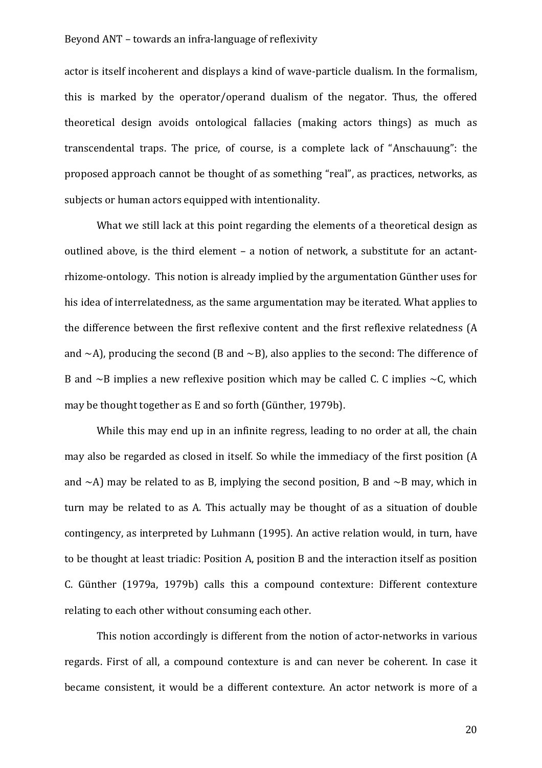actor is itself incoherent and displays a kind of wave-particle dualism. In the formalism, this is marked by the operator/operand dualism of the negator. Thus, the offered theoretical design avoids ontological fallacies (making actors things) as much as transcendental traps. The price, of course, is a complete lack of "Anschauung": the proposed approach cannot be thought of as something "real", as practices, networks, as subjects or human actors equipped with intentionality.

What we still lack at this point regarding the elements of a theoretical design as outlined above, is the third element – a notion of network, a substitute for an actantrhizome-ontology. This notion is already implied by the argumentation Günther uses for his idea of interrelatedness, as the same argumentation may be iterated. What applies to the difference between the first reflexive content and the first reflexive relatedness (A and  $\sim$ A), producing the second (B and  $\sim$ B), also applies to the second: The difference of B and  $\sim$ B implies a new reflexive position which may be called C. C implies  $\sim$ C, which may be thought together as E and so forth (Günther, 1979b).

While this may end up in an infinite regress, leading to no order at all, the chain may also be regarded as closed in itself. So while the immediacy of the first position (A and  $\sim$ A) may be related to as B, implying the second position, B and  $\sim$ B may, which in turn may be related to as A. This actually may be thought of as a situation of double contingency, as interpreted by Luhmann (1995). An active relation would, in turn, have to be thought at least triadic: Position A, position B and the interaction itself as position C. Günther (1979a, 1979b) calls this a compound contexture: Different contexture relating to each other without consuming each other.

This notion accordingly is different from the notion of actor-networks in various regards. First of all, a compound contexture is and can never be coherent. In case it became consistent, it would be a different contexture. An actor network is more of a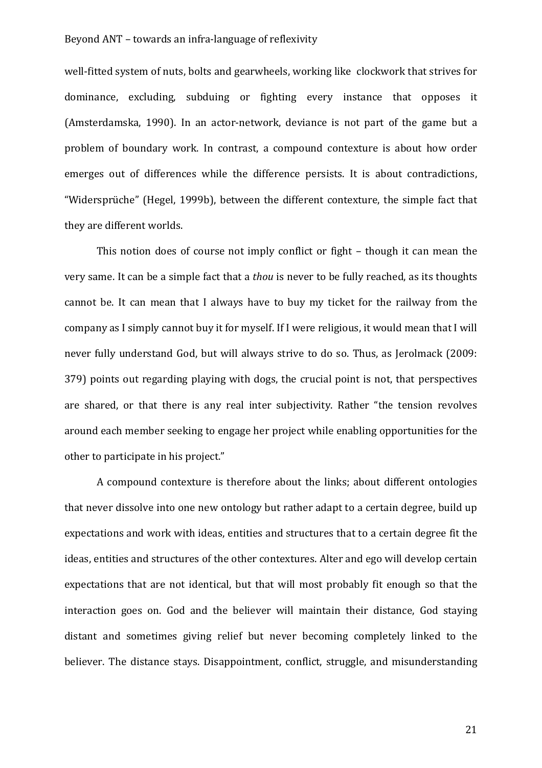well-fitted system of nuts, bolts and gearwheels, working like clockwork that strives for dominance, excluding, subduing or fighting every instance that opposes it (Amsterdamska, 1990). In an actor-network, deviance is not part of the game but a problem of boundary work. In contrast, a compound contexture is about how order emerges out of differences while the difference persists. It is about contradictions, "Widersprüche" (Hegel, 1999b), between the different contexture, the simple fact that they are different worlds.

This notion does of course not imply conflict or fight – though it can mean the very same. It can be a simple fact that a *thou* is never to be fully reached, as its thoughts cannot be. It can mean that I always have to buy my ticket for the railway from the company as I simply cannot buy it for myself. If I were religious, it would mean that I will never fully understand God, but will always strive to do so. Thus, as Jerolmack (2009: 379) points out regarding playing with dogs, the crucial point is not, that perspectives are shared, or that there is any real inter subjectivity. Rather "the tension revolves around each member seeking to engage her project while enabling opportunities for the other to participate in his project."

A compound contexture is therefore about the links; about different ontologies that never dissolve into one new ontology but rather adapt to a certain degree, build up expectations and work with ideas, entities and structures that to a certain degree fit the ideas, entities and structures of the other contextures. Alter and ego will develop certain expectations that are not identical, but that will most probably fit enough so that the interaction goes on. God and the believer will maintain their distance, God staying distant and sometimes giving relief but never becoming completely linked to the believer. The distance stays. Disappointment, conflict, struggle, and misunderstanding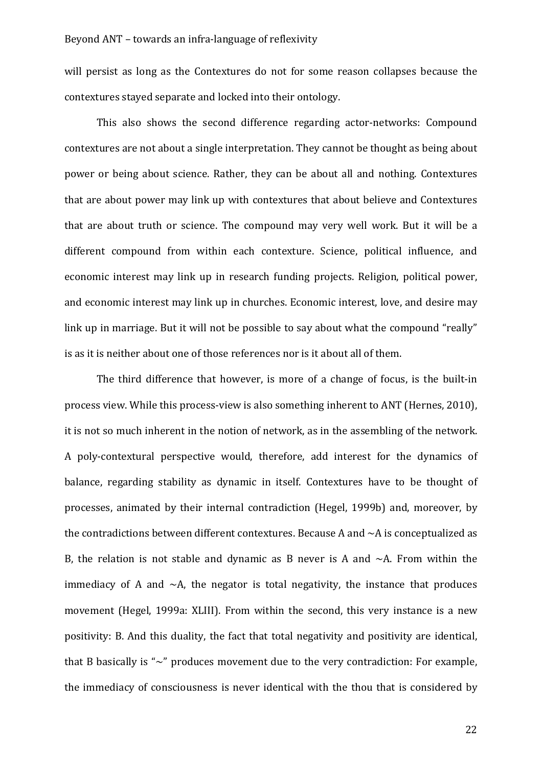will persist as long as the Contextures do not for some reason collapses because the contextures stayed separate and locked into their ontology.

This also shows the second difference regarding actor-networks: Compound contextures are not about a single interpretation. They cannot be thought as being about power or being about science. Rather, they can be about all and nothing. Contextures that are about power may link up with contextures that about believe and Contextures that are about truth or science. The compound may very well work. But it will be a different compound from within each contexture. Science, political influence, and economic interest may link up in research funding projects. Religion, political power, and economic interest may link up in churches. Economic interest, love, and desire may link up in marriage. But it will not be possible to say about what the compound "really" is as it is neither about one of those references nor is it about all of them.

The third difference that however, is more of a change of focus, is the built-in process view. While this process-view is also something inherent to ANT (Hernes, 2010), it is not so much inherent in the notion of network, as in the assembling of the network. A poly-contextural perspective would, therefore, add interest for the dynamics of balance, regarding stability as dynamic in itself. Contextures have to be thought of processes, animated by their internal contradiction (Hegel, 1999b) and, moreover, by the contradictions between different contextures. Because A and ~A is conceptualized as B, the relation is not stable and dynamic as B never is A and  $\sim$  A. From within the immediacy of A and  $\sim$ A, the negator is total negativity, the instance that produces movement (Hegel, 1999a: XLIII). From within the second, this very instance is a new positivity: B. And this duality, the fact that total negativity and positivity are identical, that B basically is "~" produces movement due to the very contradiction: For example, the immediacy of consciousness is never identical with the thou that is considered by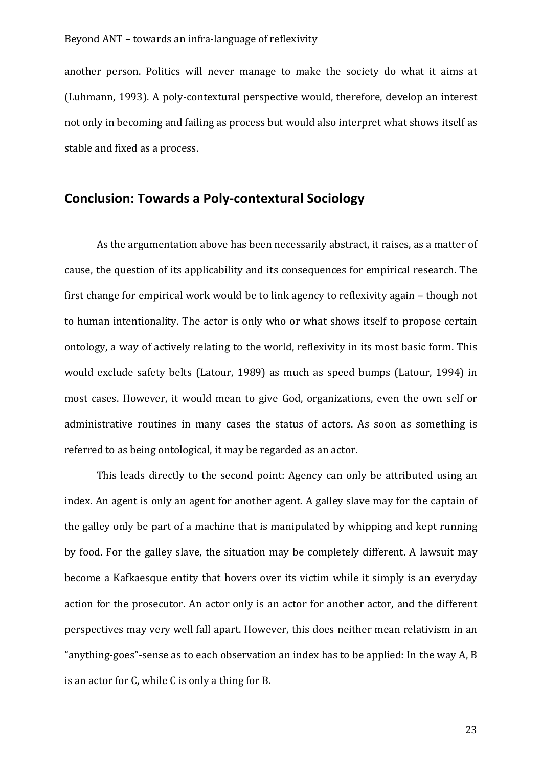another person. Politics will never manage to make the society do what it aims at (Luhmann, 1993). A poly-contextural perspective would, therefore, develop an interest not only in becoming and failing as process but would also interpret what shows itself as stable and fixed as a process.

# **Conclusion: Towards a Poly-contextural Sociology**

As the argumentation above has been necessarily abstract, it raises, as a matter of cause, the question of its applicability and its consequences for empirical research. The first change for empirical work would be to link agency to reflexivity again – though not to human intentionality. The actor is only who or what shows itself to propose certain ontology, a way of actively relating to the world, reflexivity in its most basic form. This would exclude safety belts (Latour, 1989) as much as speed bumps (Latour, 1994) in most cases. However, it would mean to give God, organizations, even the own self or administrative routines in many cases the status of actors. As soon as something is referred to as being ontological, it may be regarded as an actor.

This leads directly to the second point: Agency can only be attributed using an index. An agent is only an agent for another agent. A galley slave may for the captain of the galley only be part of a machine that is manipulated by whipping and kept running by food. For the galley slave, the situation may be completely different. A lawsuit may become a Kafkaesque entity that hovers over its victim while it simply is an everyday action for the prosecutor. An actor only is an actor for another actor, and the different perspectives may very well fall apart. However, this does neither mean relativism in an "anything-goes"-sense as to each observation an index has to be applied: In the way A, B is an actor for C, while C is only a thing for B.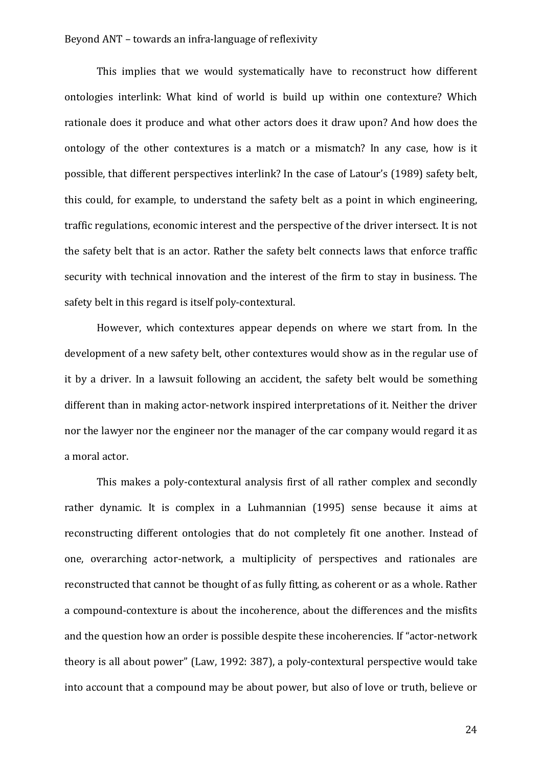This implies that we would systematically have to reconstruct how different ontologies interlink: What kind of world is build up within one contexture? Which rationale does it produce and what other actors does it draw upon? And how does the ontology of the other contextures is a match or a mismatch? In any case, how is it possible, that different perspectives interlink? In the case of Latour's (1989) safety belt, this could, for example, to understand the safety belt as a point in which engineering, traffic regulations, economic interest and the perspective of the driver intersect. It is not the safety belt that is an actor. Rather the safety belt connects laws that enforce traffic security with technical innovation and the interest of the firm to stay in business. The safety belt in this regard is itself poly-contextural.

However, which contextures appear depends on where we start from. In the development of a new safety belt, other contextures would show as in the regular use of it by a driver. In a lawsuit following an accident, the safety belt would be something different than in making actor-network inspired interpretations of it. Neither the driver nor the lawyer nor the engineer nor the manager of the car company would regard it as a moral actor.

This makes a poly-contextural analysis first of all rather complex and secondly rather dynamic. It is complex in a Luhmannian (1995) sense because it aims at reconstructing different ontologies that do not completely fit one another. Instead of one, overarching actor-network, a multiplicity of perspectives and rationales are reconstructed that cannot be thought of as fully fitting, as coherent or as a whole. Rather a compound-contexture is about the incoherence, about the differences and the misfits and the question how an order is possible despite these incoherencies. If "actor-network theory is all about power" (Law, 1992: 387), a poly-contextural perspective would take into account that a compound may be about power, but also of love or truth, believe or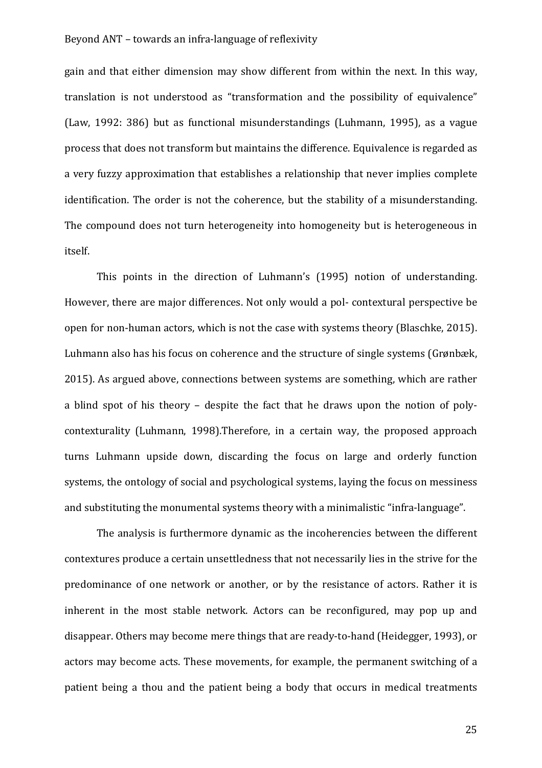gain and that either dimension may show different from within the next. In this way, translation is not understood as "transformation and the possibility of equivalence" (Law, 1992: 386) but as functional misunderstandings (Luhmann, 1995), as a vague process that does not transform but maintains the difference. Equivalence is regarded as a very fuzzy approximation that establishes a relationship that never implies complete identification. The order is not the coherence, but the stability of a misunderstanding. The compound does not turn heterogeneity into homogeneity but is heterogeneous in itself.

This points in the direction of Luhmann's (1995) notion of understanding. However, there are major differences. Not only would a pol- contextural perspective be open for non-human actors, which is not the case with systems theory (Blaschke, 2015). Luhmann also has his focus on coherence and the structure of single systems (Grønbæk, 2015). As argued above, connections between systems are something, which are rather a blind spot of his theory – despite the fact that he draws upon the notion of polycontexturality (Luhmann, 1998).Therefore, in a certain way, the proposed approach turns Luhmann upside down, discarding the focus on large and orderly function systems, the ontology of social and psychological systems, laying the focus on messiness and substituting the monumental systems theory with a minimalistic "infra-language".

The analysis is furthermore dynamic as the incoherencies between the different contextures produce a certain unsettledness that not necessarily lies in the strive for the predominance of one network or another, or by the resistance of actors. Rather it is inherent in the most stable network. Actors can be reconfigured, may pop up and disappear. Others may become mere things that are ready-to-hand (Heidegger, 1993), or actors may become acts. These movements, for example, the permanent switching of a patient being a thou and the patient being a body that occurs in medical treatments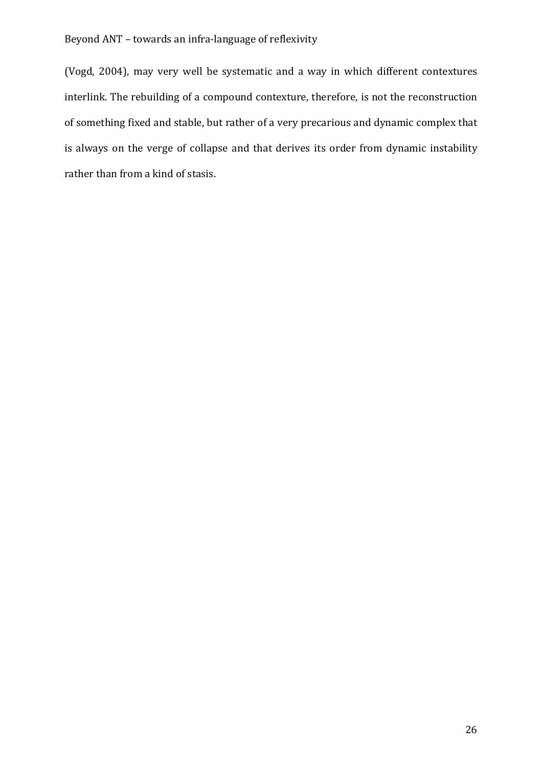(Vogd, 2004), may very well be systematic and a way in which different contextures interlink. The rebuilding of a compound contexture, therefore, is not the reconstruction of something fixed and stable, but rather of a very precarious and dynamic complex that is always on the verge of collapse and that derives its order from dynamic instability rather than from a kind of stasis.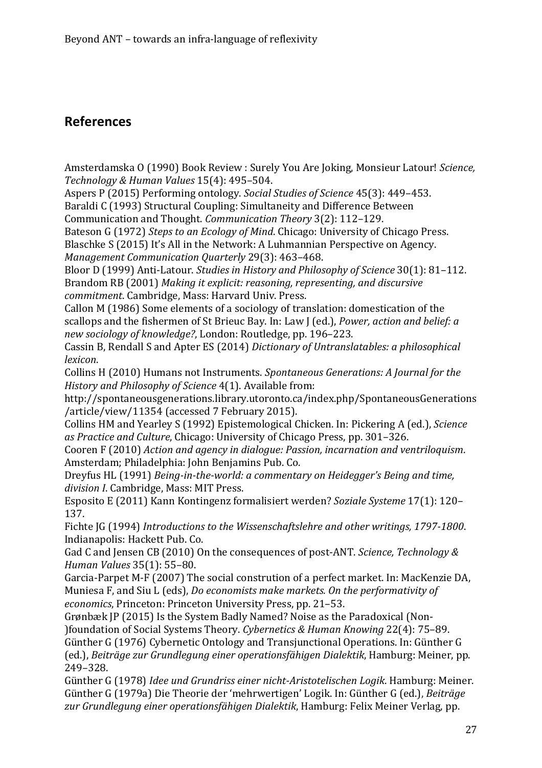# **References**

Amsterdamska O (1990) Book Review : Surely You Are Joking, Monsieur Latour! *Science, Technology & Human Values* 15(4): 495–504.

Aspers P (2015) Performing ontology. *Social Studies of Science* 45(3): 449–453. Baraldi C (1993) Structural Coupling: Simultaneity and Difference Between

Communication and Thought. *Communication Theory* 3(2): 112–129.

Bateson G (1972) *Steps to an Ecology of Mind*. Chicago: University of Chicago Press.

Blaschke S (2015) It's All in the Network: A Luhmannian Perspective on Agency. *Management Communication Quarterly* 29(3): 463–468.

Bloor D (1999) Anti-Latour. *Studies in History and Philosophy of Science* 30(1): 81–112. Brandom RB (2001) *Making it explicit: reasoning, representing, and discursive commitment*. Cambridge, Mass: Harvard Univ. Press.

Callon M (1986) Some elements of a sociology of translation: domestication of the scallops and the fishermen of St Brieuc Bay. In: Law J (ed.), *Power, action and belief: a new sociology of knowledge?*, London: Routledge, pp. 196–223.

Cassin B, Rendall S and Apter ES (2014) *Dictionary of Untranslatables: a philosophical lexicon*.

Collins H (2010) Humans not Instruments. *Spontaneous Generations: A Journal for the History and Philosophy of Science* 4(1). Available from:

http://spontaneousgenerations.library.utoronto.ca/index.php/SpontaneousGenerations /article/view/11354 (accessed 7 February 2015).

Collins HM and Yearley S (1992) Epistemological Chicken. In: Pickering A (ed.), *Science as Practice and Culture*, Chicago: University of Chicago Press, pp. 301–326.

Cooren F (2010) *Action and agency in dialogue: Passion, incarnation and ventriloquism*. Amsterdam; Philadelphia: John Benjamins Pub. Co.

Dreyfus HL (1991) *Being-in-the-world: a commentary on Heidegger's Being and time, division I*. Cambridge, Mass: MIT Press.

Esposito E (2011) Kann Kontingenz formalisiert werden? *Soziale Systeme* 17(1): 120– 137.

Fichte JG (1994) *Introductions to the Wissenschaftslehre and other writings, 1797-1800*. Indianapolis: Hackett Pub. Co.

Gad C and Jensen CB (2010) On the consequences of post-ANT. *Science, Technology & Human Values* 35(1): 55–80.

Garcia-Parpet M-F (2007) The social constrution of a perfect market. In: MacKenzie DA, Muniesa F, and Siu L (eds), *Do economists make markets. On the performativity of economics*, Princeton: Princeton University Press, pp. 21–53.

Grønbæk JP (2015) Is the System Badly Named? Noise as the Paradoxical (Non- )foundation of Social Systems Theory. *Cybernetics & Human Knowing* 22(4): 75–89. Günther G (1976) Cybernetic Ontology and Transjunctional Operations. In: Günther G (ed.), *Beiträge zur Grundlegung einer operationsfähigen Dialektik*, Hamburg: Meiner, pp. 249–328.

Günther G (1978) *Idee und Grundriss einer nicht-Aristotelischen Logik*. Hamburg: Meiner. Günther G (1979a) Die Theorie der 'mehrwertigen' Logik. In: Günther G (ed.), *Beiträge zur Grundlegung einer operationsfähigen Dialektik*, Hamburg: Felix Meiner Verlag, pp.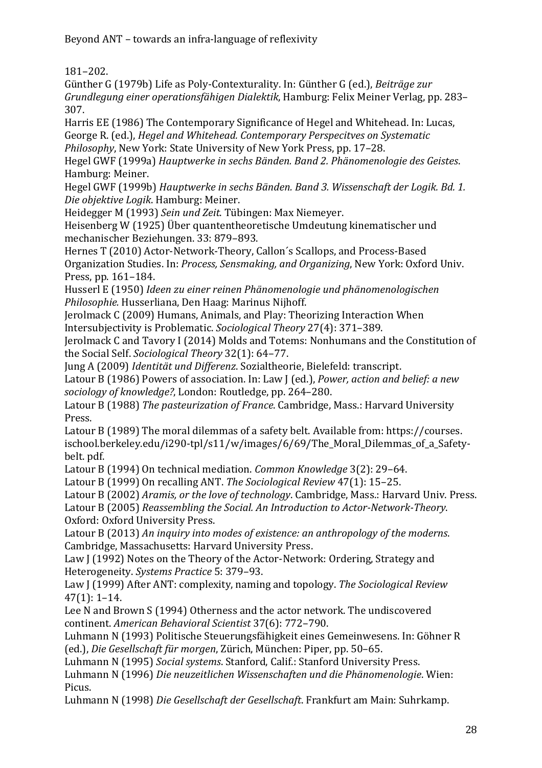181–202.

Günther G (1979b) Life as Poly-Contexturality. In: Günther G (ed.), *Beiträge zur Grundlegung einer operationsfähigen Dialektik*, Hamburg: Felix Meiner Verlag, pp. 283– 307.

Harris EE (1986) The Contemporary Significance of Hegel and Whitehead. In: Lucas, George R. (ed.), *Hegel and Whitehead. Contemporary Perspecitves on Systematic Philosophy*, New York: State University of New York Press, pp. 17–28.

Hegel GWF (1999a) *Hauptwerke in sechs Bänden. Band 2. Phänomenologie des Geistes*. Hamburg: Meiner.

Hegel GWF (1999b) *Hauptwerke in sechs Bänden. Band 3. Wissenschaft der Logik. Bd. 1. Die objektive Logik*. Hamburg: Meiner.

Heidegger M (1993) *Sein und Zeit*. Tübingen: Max Niemeyer.

Heisenberg W (1925) Über quantentheoretische Umdeutung kinematischer und mechanischer Beziehungen. 33: 879–893.

Hernes T (2010) Actor-Network-Theory, Callon´s Scallops, and Process-Based Organization Studies. In: *Process, Sensmaking, and Organizing*, New York: Oxford Univ. Press, pp. 161–184.

Husserl E (1950) *Ideen zu einer reinen Phänomenologie und phänomenologischen Philosophie.* Husserliana, Den Haag: Marinus Nijhoff.

Jerolmack C (2009) Humans, Animals, and Play: Theorizing Interaction When Intersubjectivity is Problematic. *Sociological Theory* 27(4): 371–389.

Jerolmack C and Tavory I (2014) Molds and Totems: Nonhumans and the Constitution of the Social Self. *Sociological Theory* 32(1): 64–77.

Jung A (2009) *Identität und Differenz*. Sozialtheorie, Bielefeld: transcript.

Latour B (1986) Powers of association. In: Law J (ed.), *Power, action and belief: a new sociology of knowledge?*, London: Routledge, pp. 264–280.

Latour B (1988) *The pasteurization of France*. Cambridge, Mass.: Harvard University Press.

Latour B (1989) The moral dilemmas of a safety belt. Available from: https://courses. ischool.berkeley.edu/i290-tpl/s11/w/images/6/69/The\_Moral\_Dilemmas\_of\_a\_Safetybelt. pdf.

Latour B (1994) On technical mediation. *Common Knowledge* 3(2): 29–64.

Latour B (1999) On recalling ANT. *The Sociological Review* 47(1): 15–25.

Latour B (2002) *Aramis, or the love of technology*. Cambridge, Mass.: Harvard Univ. Press.

Latour B (2005) *Reassembling the Social. An Introduction to Actor-Network-Theory*. Oxford: Oxford University Press.

Latour B (2013) *An inquiry into modes of existence: an anthropology of the moderns*. Cambridge, Massachusetts: Harvard University Press.

Law J (1992) Notes on the Theory of the Actor-Network: Ordering, Strategy and Heterogeneity. *Systems Practice* 5: 379–93.

Law J (1999) After ANT: complexity, naming and topology. *The Sociological Review* 47(1): 1–14.

Lee N and Brown S (1994) Otherness and the actor network. The undiscovered continent. *American Behavioral Scientist* 37(6): 772–790.

Luhmann N (1993) Politische Steuerungsfähigkeit eines Gemeinwesens. In: Göhner R (ed.), *Die Gesellschaft für morgen*, Zürich, München: Piper, pp. 50–65.

Luhmann N (1995) *Social systems*. Stanford, Calif.: Stanford University Press.

Luhmann N (1996) *Die neuzeitlichen Wissenschaften und die Phänomenologie*. Wien: Picus.

Luhmann N (1998) *Die Gesellschaft der Gesellschaft*. Frankfurt am Main: Suhrkamp.